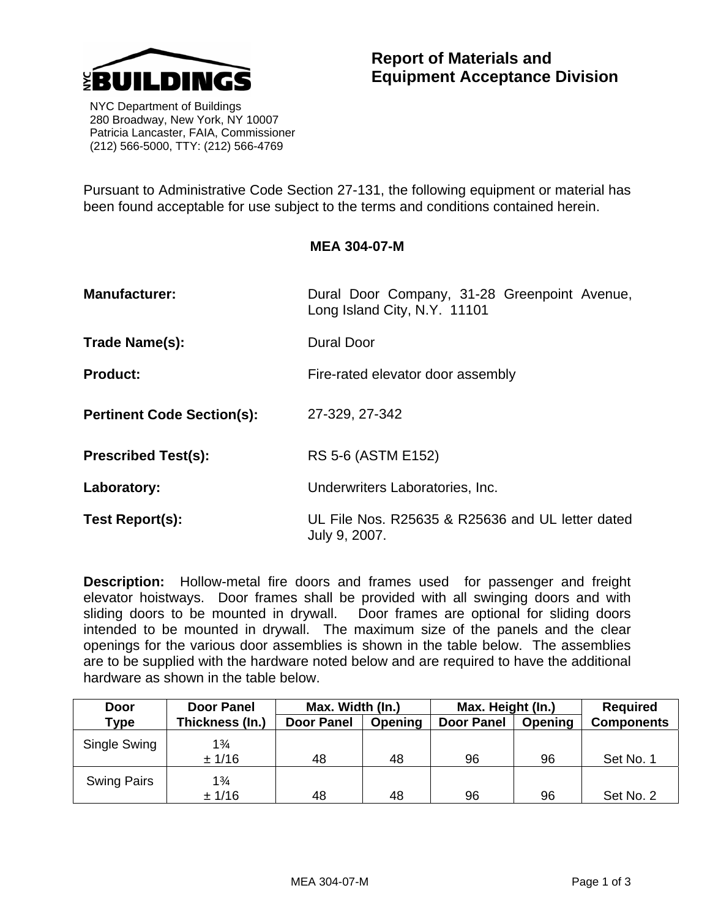

 NYC Department of Buildings 280 Broadway, New York, NY 10007 Patricia Lancaster, FAIA, Commissioner (212) 566-5000, TTY: (212) 566-4769

Pursuant to Administrative Code Section 27-131, the following equipment or material has been found acceptable for use subject to the terms and conditions contained herein.

## **MEA 304-07-M**

| <b>Manufacturer:</b>              | Dural Door Company, 31-28 Greenpoint Avenue,<br>Long Island City, N.Y. 11101 |  |  |  |  |
|-----------------------------------|------------------------------------------------------------------------------|--|--|--|--|
| Trade Name(s):                    | Dural Door                                                                   |  |  |  |  |
| <b>Product:</b>                   | Fire-rated elevator door assembly                                            |  |  |  |  |
| <b>Pertinent Code Section(s):</b> | 27-329, 27-342                                                               |  |  |  |  |
| <b>Prescribed Test(s):</b>        | RS 5-6 (ASTM E152)                                                           |  |  |  |  |
| Laboratory:                       | Underwriters Laboratories, Inc.                                              |  |  |  |  |
| Test Report(s):                   | UL File Nos. R25635 & R25636 and UL letter dated<br>July 9, 2007.            |  |  |  |  |

**Description:** Hollow-metal fire doors and frames used for passenger and freight elevator hoistways. Door frames shall be provided with all swinging doors and with sliding doors to be mounted in drywall. Door frames are optional for sliding doors intended to be mounted in drywall. The maximum size of the panels and the clear openings for the various door assemblies is shown in the table below. The assemblies are to be supplied with the hardware noted below and are required to have the additional hardware as shown in the table below.

| Door               | <b>Door Panel</b> | Max. Width (In.)  |         | Max. Height (In.) |         | <b>Required</b>   |
|--------------------|-------------------|-------------------|---------|-------------------|---------|-------------------|
| Type               | Thickness (In.)   | <b>Door Panel</b> | Opening | <b>Door Panel</b> | Opening | <b>Components</b> |
| Single Swing       | $1\frac{3}{4}$    |                   |         |                   |         |                   |
|                    | ± 1/16            | 48                | 48      | 96                | 96      | Set No. 1         |
| <b>Swing Pairs</b> | $1\frac{3}{4}$    |                   |         |                   |         |                   |
|                    | ± 1/16            | 48                | 48      | 96                | 96      | Set No. 2         |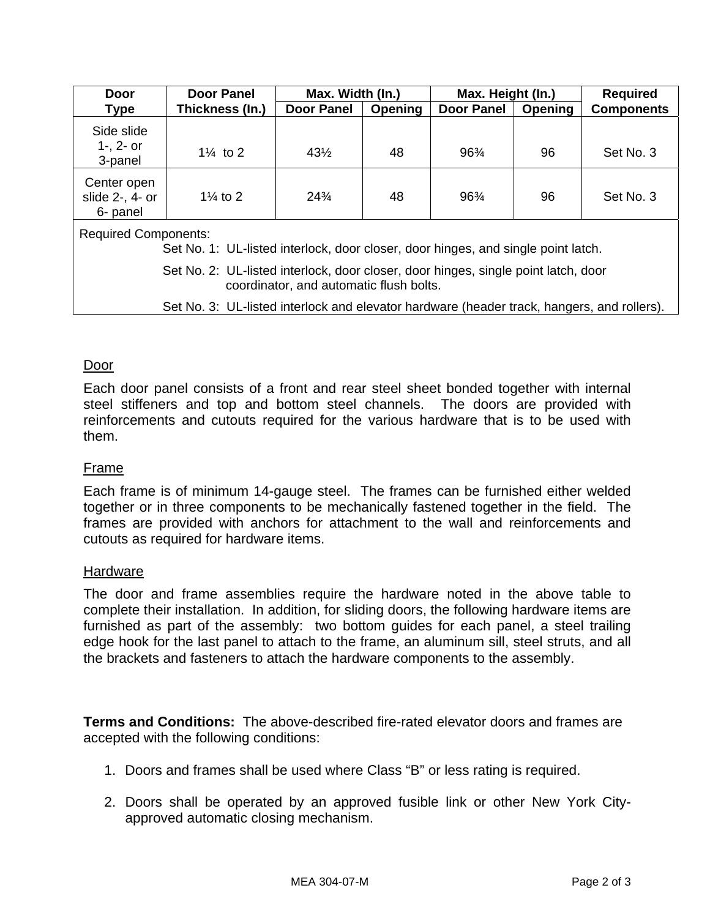| <b>Door Panel</b><br>Door                                                                                        |                     | Max. Width (In.)  |                | Max. Height (In.) |         | <b>Required</b>   |  |  |  |
|------------------------------------------------------------------------------------------------------------------|---------------------|-------------------|----------------|-------------------|---------|-------------------|--|--|--|
| <b>Type</b>                                                                                                      | Thickness (In.)     | <b>Door Panel</b> | <b>Opening</b> | <b>Door Panel</b> | Opening | <b>Components</b> |  |  |  |
| Side slide<br>$1 - 2 -$ or<br>3-panel                                                                            | $1\frac{1}{4}$ to 2 | $43\frac{1}{2}$   | 48             | 96%               | 96      | Set No. 3         |  |  |  |
| Center open<br>slide 2-, 4- or<br>6- panel                                                                       | $1\frac{1}{4}$ to 2 | $24\frac{3}{4}$   | 48             | 96%               | 96      | Set No. 3         |  |  |  |
| <b>Required Components:</b><br>Set No. 1: UL-listed interlock, door closer, door hinges, and single point latch. |                     |                   |                |                   |         |                   |  |  |  |

 Set No. 2: UL-listed interlock, door closer, door hinges, single point latch, door coordinator, and automatic flush bolts.

Set No. 3: UL-listed interlock and elevator hardware (header track, hangers, and rollers).

## Door

Each door panel consists of a front and rear steel sheet bonded together with internal steel stiffeners and top and bottom steel channels. The doors are provided with reinforcements and cutouts required for the various hardware that is to be used with them.

## Frame

Each frame is of minimum 14-gauge steel. The frames can be furnished either welded together or in three components to be mechanically fastened together in the field. The frames are provided with anchors for attachment to the wall and reinforcements and cutouts as required for hardware items.

## Hardware

The door and frame assemblies require the hardware noted in the above table to complete their installation. In addition, for sliding doors, the following hardware items are furnished as part of the assembly: two bottom guides for each panel, a steel trailing edge hook for the last panel to attach to the frame, an aluminum sill, steel struts, and all the brackets and fasteners to attach the hardware components to the assembly.

**Terms and Conditions:** The above-described fire-rated elevator doors and frames are accepted with the following conditions:

- 1. Doors and frames shall be used where Class "B" or less rating is required.
- 2. Doors shall be operated by an approved fusible link or other New York Cityapproved automatic closing mechanism.